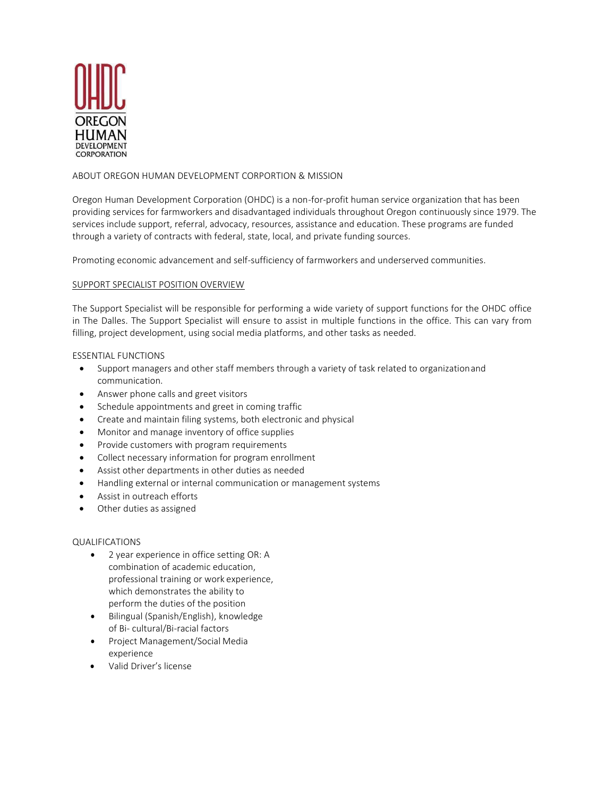

# ABOUT OREGON HUMAN DEVELOPMENT CORPORTION & MISSION

Oregon Human Development Corporation (OHDC) is a non-for-profit human service organization that has been providing services for farmworkers and disadvantaged individuals throughout Oregon continuously since 1979. The services include support, referral, advocacy, resources, assistance and education. These programs are funded through a variety of contracts with federal, state, local, and private funding sources.

Promoting economic advancement and self-sufficiency of farmworkers and underserved communities.

# SUPPORT SPECIALIST POSITION OVERVIEW

The Support Specialist will be responsible for performing a wide variety of support functions for the OHDC office in The Dalles. The Support Specialist will ensure to assist in multiple functions in the office. This can vary from filling, project development, using social media platforms, and other tasks as needed.

# ESSENTIAL FUNCTIONS

- Support managers and other staff members through a variety of task related to organizationand communication.
- Answer phone calls and greet visitors
- Schedule appointments and greet in coming traffic
- Create and maintain filing systems, both electronic and physical
- Monitor and manage inventory of office supplies
- Provide customers with program requirements
- Collect necessary information for program enrollment
- Assist other departments in other duties as needed
- Handling external or internal communication or management systems
- Assist in outreach efforts
- Other duties as assigned

# QUALIFICATIONS

- 2 year experience in office setting OR: A combination of academic education, professional training or work experience, which demonstrates the ability to perform the duties of the position
- Bilingual (Spanish/English), knowledge of Bi- cultural/Bi-racial factors
- Project Management/Social Media experience
- Valid Driver's license